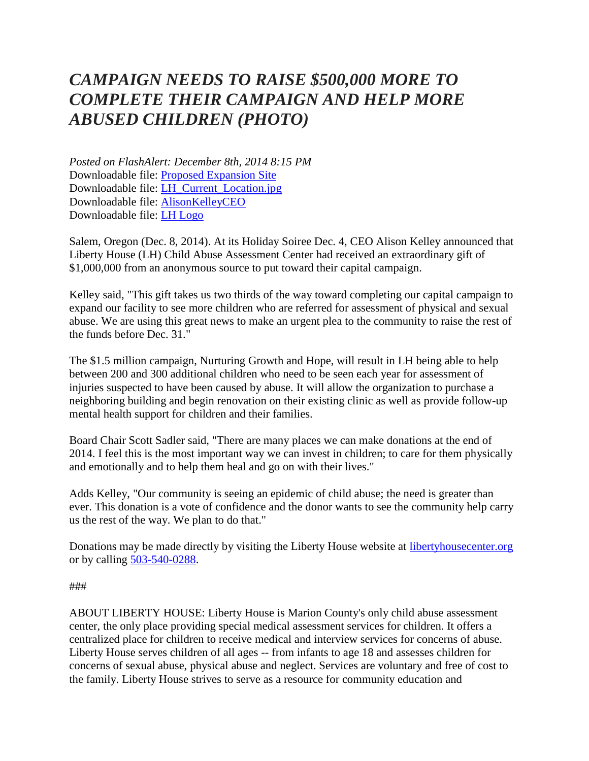## *CAMPAIGN NEEDS TO RAISE \$500,000 MORE TO COMPLETE THEIR CAMPAIGN AND HELP MORE ABUSED CHILDREN (PHOTO)*

*Posted on FlashAlert: December 8th, 2014 8:15 PM* Downloadable file: [Proposed Expansion Site](http://www.flashalertnewswire.net/images/news/2014-12/1853/80217/Taylor_St_Expansion_Site.jpg) Downloadable file: [LH\\_Current\\_Location.jpg](http://www.flashalertnewswire.net/images/news/2014-12/1853/80217/LH_Current_Location.jpg) Downloadable file: [AlisonKelleyCEO](http://www.flashalertnewswire.net/images/news/2014-12/1853/80217/AlisonKelley.jpg) Downloadable file: [LH Logo](http://www.flashalertnewswire.net/images/news/2014-12/1853/80217/lh_logo_new.jpg)

Salem, Oregon (Dec. 8, 2014). At its Holiday Soiree Dec. 4, CEO Alison Kelley announced that Liberty House (LH) Child Abuse Assessment Center had received an extraordinary gift of \$1,000,000 from an anonymous source to put toward their capital campaign.

Kelley said, "This gift takes us two thirds of the way toward completing our capital campaign to expand our facility to see more children who are referred for assessment of physical and sexual abuse. We are using this great news to make an urgent plea to the community to raise the rest of the funds before Dec. 31."

The \$1.5 million campaign, Nurturing Growth and Hope, will result in LH being able to help between 200 and 300 additional children who need to be seen each year for assessment of injuries suspected to have been caused by abuse. It will allow the organization to purchase a neighboring building and begin renovation on their existing clinic as well as provide follow-up mental health support for children and their families.

Board Chair Scott Sadler said, "There are many places we can make donations at the end of 2014. I feel this is the most important way we can invest in children; to care for them physically and emotionally and to help them heal and go on with their lives."

Adds Kelley, "Our community is seeing an epidemic of child abuse; the need is greater than ever. This donation is a vote of confidence and the donor wants to see the community help carry us the rest of the way. We plan to do that."

Donations may be made directly by visiting the Liberty House website at [libertyhousecenter.org](http://libertyhousecenter.org/) or by calling [503-540-0288.](tel:503-540-0288)

###

ABOUT LIBERTY HOUSE: Liberty House is Marion County's only child abuse assessment center, the only place providing special medical assessment services for children. It offers a centralized place for children to receive medical and interview services for concerns of abuse. Liberty House serves children of all ages -- from infants to age 18 and assesses children for concerns of sexual abuse, physical abuse and neglect. Services are voluntary and free of cost to the family. Liberty House strives to serve as a resource for community education and